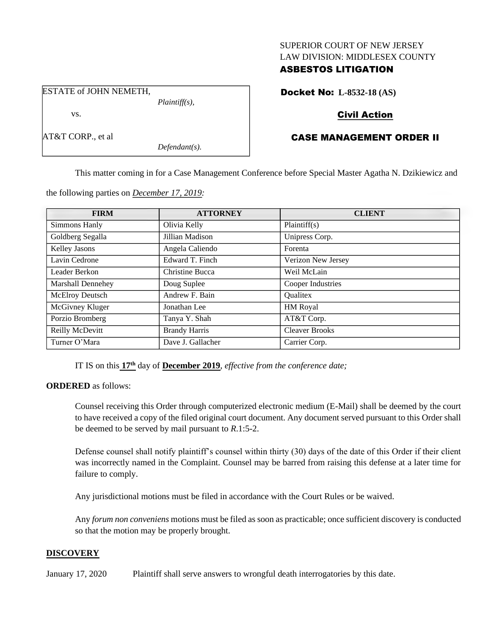#### SUPERIOR COURT OF NEW JERSEY LAW DIVISION: MIDDLESEX COUNTY

# ASBESTOS LITIGATION

ESTATE of JOHN NEMETH, *Plaintiff(s),*

vs.

AT&T CORP., et al

*Defendant(s).*

Docket No: **L-8532-18 (AS)**

# Civil Action

# CASE MANAGEMENT ORDER II

This matter coming in for a Case Management Conference before Special Master Agatha N. Dzikiewicz and

the following parties on *December 17, 2019:*

| <b>FIRM</b>              | <b>ATTORNEY</b>      | <b>CLIENT</b>         |
|--------------------------|----------------------|-----------------------|
| Simmons Hanly            | Olivia Kelly         | Plaintiff(s)          |
| Goldberg Segalla         | Jillian Madison      | Unipress Corp.        |
| Kelley Jasons            | Angela Caliendo      | Forenta               |
| Lavin Cedrone            | Edward T. Finch      | Verizon New Jersey    |
| Leader Berkon            | Christine Bucca      | Weil McLain           |
| <b>Marshall Dennehey</b> | Doug Suplee          | Cooper Industries     |
| McElroy Deutsch          | Andrew F. Bain       | <b>Oualitex</b>       |
| McGivney Kluger          | Jonathan Lee         | HM Royal              |
| Porzio Bromberg          | Tanya Y. Shah        | AT&T Corp.            |
| Reilly McDevitt          | <b>Brandy Harris</b> | <b>Cleaver Brooks</b> |
| Turner O'Mara            | Dave J. Gallacher    | Carrier Corp.         |

IT IS on this **17th** day of **December 2019**, *effective from the conference date;*

**ORDERED** as follows:

Counsel receiving this Order through computerized electronic medium (E-Mail) shall be deemed by the court to have received a copy of the filed original court document. Any document served pursuant to this Order shall be deemed to be served by mail pursuant to *R*.1:5-2.

Defense counsel shall notify plaintiff's counsel within thirty (30) days of the date of this Order if their client was incorrectly named in the Complaint. Counsel may be barred from raising this defense at a later time for failure to comply.

Any jurisdictional motions must be filed in accordance with the Court Rules or be waived.

Any *forum non conveniens* motions must be filed as soon as practicable; once sufficient discovery is conducted so that the motion may be properly brought.

## **DISCOVERY**

January 17, 2020 Plaintiff shall serve answers to wrongful death interrogatories by this date.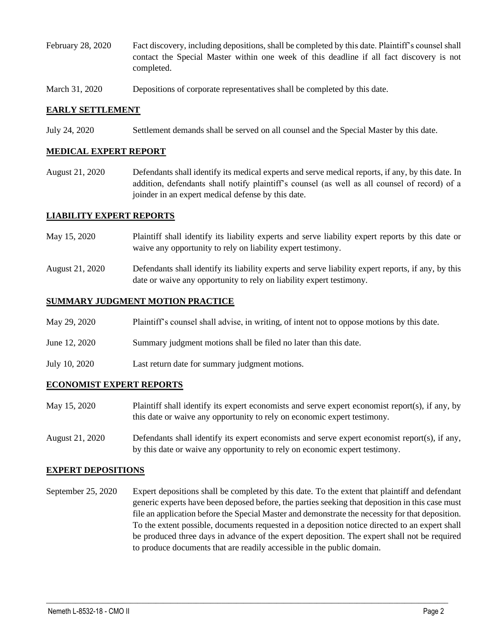- February 28, 2020 Fact discovery, including depositions, shall be completed by this date. Plaintiff's counsel shall contact the Special Master within one week of this deadline if all fact discovery is not completed.
- March 31, 2020 Depositions of corporate representatives shall be completed by this date.

### **EARLY SETTLEMENT**

July 24, 2020 Settlement demands shall be served on all counsel and the Special Master by this date.

### **MEDICAL EXPERT REPORT**

August 21, 2020 Defendants shall identify its medical experts and serve medical reports, if any, by this date. In addition, defendants shall notify plaintiff's counsel (as well as all counsel of record) of a joinder in an expert medical defense by this date.

### **LIABILITY EXPERT REPORTS**

- May 15, 2020 Plaintiff shall identify its liability experts and serve liability expert reports by this date or waive any opportunity to rely on liability expert testimony.
- August 21, 2020 Defendants shall identify its liability experts and serve liability expert reports, if any, by this date or waive any opportunity to rely on liability expert testimony.

#### **SUMMARY JUDGMENT MOTION PRACTICE**

- May 29, 2020 Plaintiff's counsel shall advise, in writing, of intent not to oppose motions by this date.
- June 12, 2020 Summary judgment motions shall be filed no later than this date.
- July 10, 2020 Last return date for summary judgment motions.

#### **ECONOMIST EXPERT REPORTS**

- May 15, 2020 Plaintiff shall identify its expert economists and serve expert economist report(s), if any, by this date or waive any opportunity to rely on economic expert testimony.
- August 21, 2020 Defendants shall identify its expert economists and serve expert economist report(s), if any, by this date or waive any opportunity to rely on economic expert testimony.

#### **EXPERT DEPOSITIONS**

September 25, 2020 Expert depositions shall be completed by this date. To the extent that plaintiff and defendant generic experts have been deposed before, the parties seeking that deposition in this case must file an application before the Special Master and demonstrate the necessity for that deposition. To the extent possible, documents requested in a deposition notice directed to an expert shall be produced three days in advance of the expert deposition. The expert shall not be required to produce documents that are readily accessible in the public domain.

 $\_$  , and the set of the set of the set of the set of the set of the set of the set of the set of the set of the set of the set of the set of the set of the set of the set of the set of the set of the set of the set of th